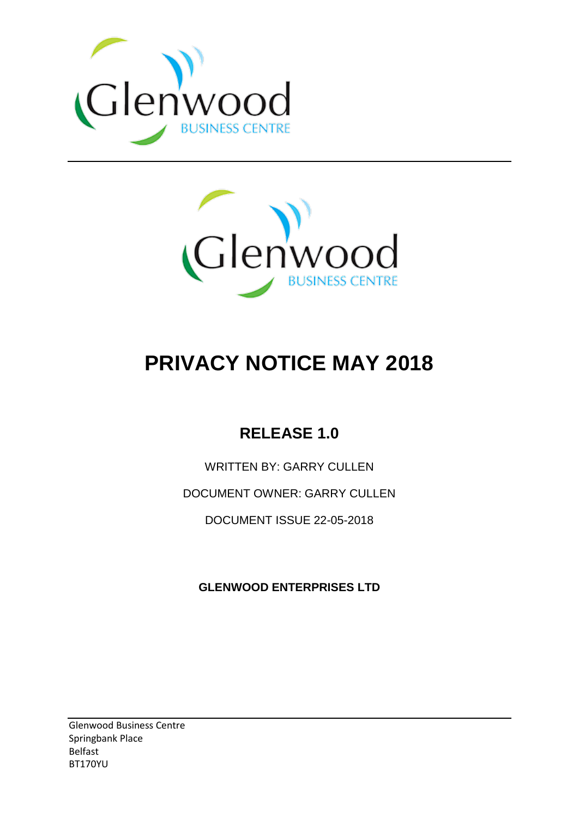



# **PRIVACY NOTICE MAY 2018**

# **RELEASE 1.0**

WRITTEN BY: GARRY CULLEN

DOCUMENT OWNER: GARRY CULLEN

DOCUMENT ISSUE 22-05-2018

**GLENWOOD ENTERPRISES LTD**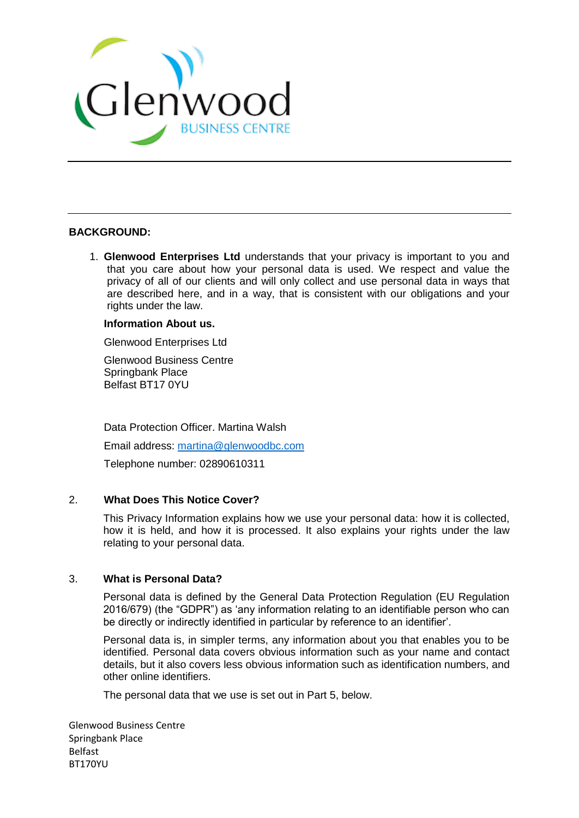

#### **BACKGROUND:**

1. **Glenwood Enterprises Ltd** understands that your privacy is important to you and that you care about how your personal data is used. We respect and value the privacy of all of our clients and will only collect and use personal data in ways that are described here, and in a way, that is consistent with our obligations and your rights under the law.

#### **Information About us.**

Glenwood Enterprises Ltd

Glenwood Business Centre Springbank Place Belfast BT17 0YU

Data Protection Officer. Martina Walsh

Email address: [martina@glenwoodbc.com](mailto:martina@glenwoodbc.com)

Telephone number: 02890610311

#### 2. **What Does This Notice Cover?**

This Privacy Information explains how we use your personal data: how it is collected, how it is held, and how it is processed. It also explains your rights under the law relating to your personal data.

#### 3. **What is Personal Data?**

Personal data is defined by the General Data Protection Regulation (EU Regulation 2016/679) (the "GDPR") as 'any information relating to an identifiable person who can be directly or indirectly identified in particular by reference to an identifier'.

Personal data is, in simpler terms, any information about you that enables you to be identified. Personal data covers obvious information such as your name and contact details, but it also covers less obvious information such as identification numbers, and other online identifiers.

The personal data that we use is set out in Part 5, below.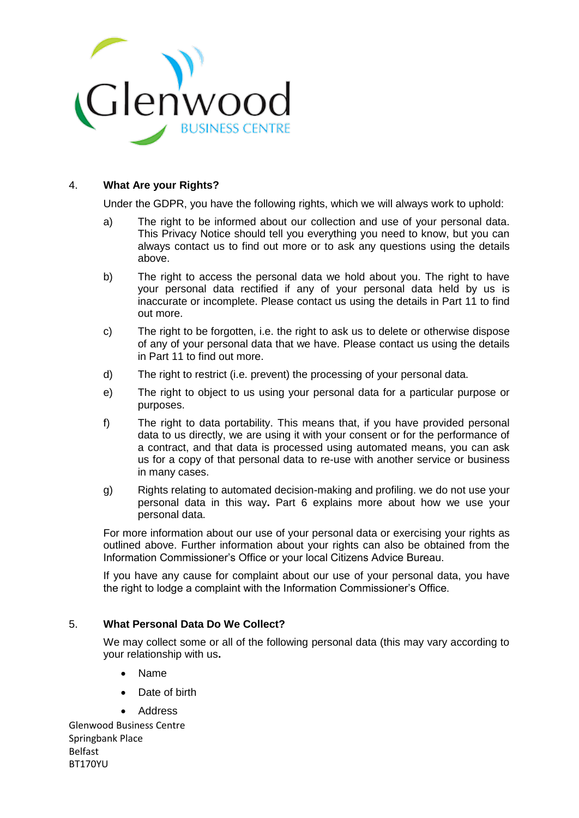

#### 4. **What Are your Rights?**

Under the GDPR, you have the following rights, which we will always work to uphold:

- a) The right to be informed about our collection and use of your personal data. This Privacy Notice should tell you everything you need to know, but you can always contact us to find out more or to ask any questions using the details above.
- b) The right to access the personal data we hold about you. The right to have your personal data rectified if any of your personal data held by us is inaccurate or incomplete. Please contact us using the details in Part 11 to find out more.
- c) The right to be forgotten, i.e. the right to ask us to delete or otherwise dispose of any of your personal data that we have. Please contact us using the details in Part 11 to find out more.
- d) The right to restrict (i.e. prevent) the processing of your personal data.
- e) The right to object to us using your personal data for a particular purpose or purposes.
- f) The right to data portability. This means that, if you have provided personal data to us directly, we are using it with your consent or for the performance of a contract, and that data is processed using automated means, you can ask us for a copy of that personal data to re-use with another service or business in many cases.
- g) Rights relating to automated decision-making and profiling. we do not use your personal data in this way**.** Part 6 explains more about how we use your personal data.

For more information about our use of your personal data or exercising your rights as outlined above. Further information about your rights can also be obtained from the Information Commissioner's Office or your local Citizens Advice Bureau.

If you have any cause for complaint about our use of your personal data, you have the right to lodge a complaint with the Information Commissioner's Office.

## 5. **What Personal Data Do We Collect?**

We may collect some or all of the following personal data (this may vary according to your relationship with us**.**

- Name
- Date of birth
- Address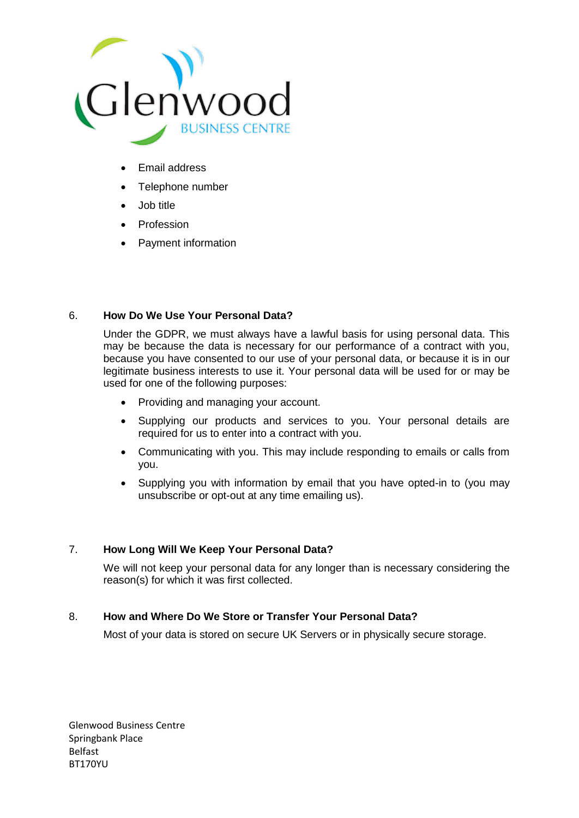

- Email address
- Telephone number
- Job title
- Profession
- Payment information

# 6. **How Do We Use Your Personal Data?**

Under the GDPR, we must always have a lawful basis for using personal data. This may be because the data is necessary for our performance of a contract with you, because you have consented to our use of your personal data, or because it is in our legitimate business interests to use it. Your personal data will be used for or may be used for one of the following purposes:

- Providing and managing your account.
- Supplying our products and services to you. Your personal details are required for us to enter into a contract with you.
- Communicating with you. This may include responding to emails or calls from you.
- Supplying you with information by email that you have opted-in to (you may unsubscribe or opt-out at any time emailing us).

# 7. **How Long Will We Keep Your Personal Data?**

We will not keep your personal data for any longer than is necessary considering the reason(s) for which it was first collected.

#### 8. **How and Where Do We Store or Transfer Your Personal Data?**

Most of your data is stored on secure UK Servers or in physically secure storage.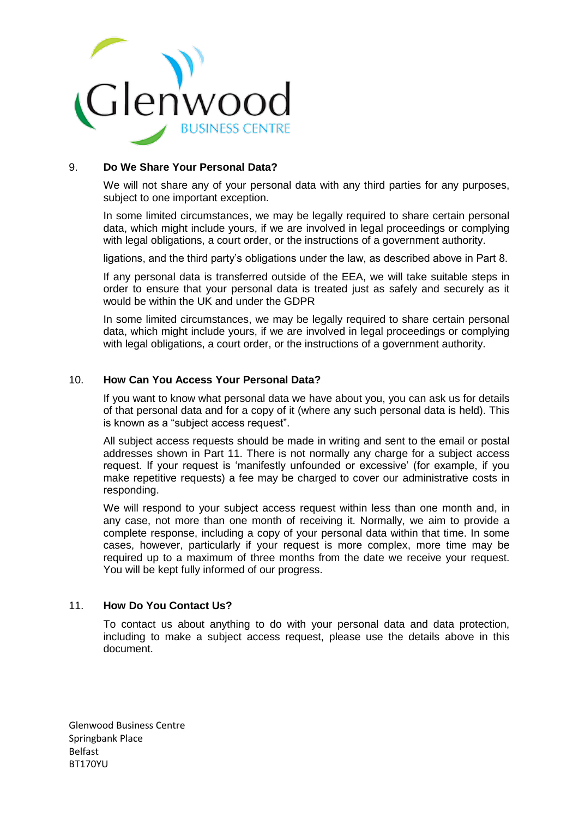

## 9. **Do We Share Your Personal Data?**

We will not share any of your personal data with any third parties for any purposes, subject to one important exception.

In some limited circumstances, we may be legally required to share certain personal data, which might include yours, if we are involved in legal proceedings or complying with legal obligations, a court order, or the instructions of a government authority.

ligations, and the third party's obligations under the law, as described above in Part 8.

If any personal data is transferred outside of the EEA, we will take suitable steps in order to ensure that your personal data is treated just as safely and securely as it would be within the UK and under the GDPR

In some limited circumstances, we may be legally required to share certain personal data, which might include yours, if we are involved in legal proceedings or complying with legal obligations, a court order, or the instructions of a government authority.

#### 10. **How Can You Access Your Personal Data?**

If you want to know what personal data we have about you, you can ask us for details of that personal data and for a copy of it (where any such personal data is held). This is known as a "subject access request".

All subject access requests should be made in writing and sent to the email or postal addresses shown in Part 11. There is not normally any charge for a subject access request. If your request is 'manifestly unfounded or excessive' (for example, if you make repetitive requests) a fee may be charged to cover our administrative costs in responding.

We will respond to your subject access request within less than one month and, in any case, not more than one month of receiving it. Normally, we aim to provide a complete response, including a copy of your personal data within that time. In some cases, however, particularly if your request is more complex, more time may be required up to a maximum of three months from the date we receive your request. You will be kept fully informed of our progress.

#### 11. **How Do You Contact Us?**

To contact us about anything to do with your personal data and data protection, including to make a subject access request, please use the details above in this document.